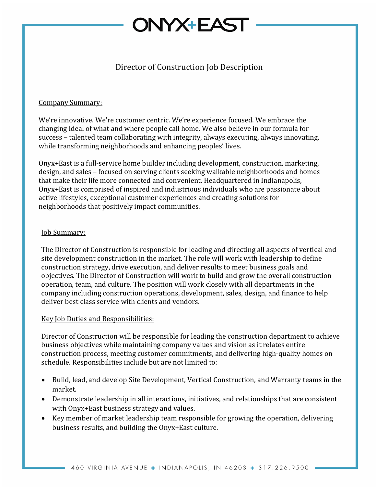## **NYX+EAST**

### Director of Construction Job Description

#### Company Summary:

We're innovative. We're customer centric. We're experience focused. We embrace the changing ideal of what and where people call home. We also believe in our formula for success – talented team collaborating with integrity, always executing, always innovating, while transforming neighborhoods and enhancing peoples' lives.

Onyx+East is a full-service home builder including development, construction, marketing, design, and sales – focused on serving clients seeking walkable neighborhoods and homes that make their life more connected and convenient. Headquartered in Indianapolis, Onyx+East is comprised of inspired and industrious individuals who are passionate about active lifestyles, exceptional customer experiences and creating solutions for neighborhoods that positively impact communities.

#### **Job Summary:**

The Director of Construction is responsible for leading and directing all aspects of vertical and site development construction in the market. The role will work with leadership to define construction strategy, drive execution, and deliver results to meet business goals and objectives. The Director of Construction will work to build and grow the overall construction operation, team, and culture. The position will work closely with all departments in the company including construction operations, development, sales, design, and finance to help deliver best class service with clients and vendors.

#### Key Job Duties and Responsibilities:

Director of Construction will be responsible for leading the construction department to achieve business objectives while maintaining company values and vision as it relates entire construction process, meeting customer commitments, and delivering high-quality homes on schedule. Responsibilities include but are not limited to:

- Build, lead, and develop Site Development, Vertical Construction, and Warranty teams in the market.
- Demonstrate leadership in all interactions, initiatives, and relationships that are consistent with Onyx+East business strategy and values.
- Key member of market leadership team responsible for growing the operation, delivering business results, and building the Onyx+East culture.